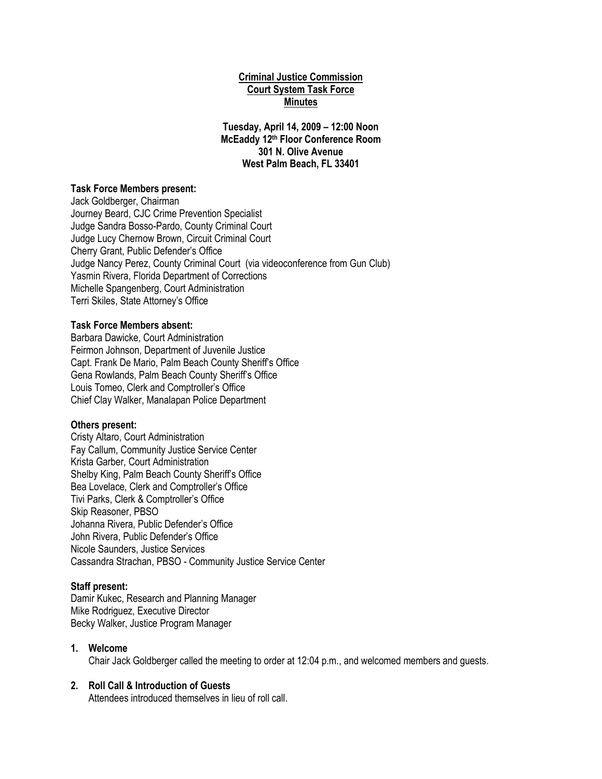## **Criminal Justice Commission Court System Task Force Minutes**

**Tuesday, April 14, 2009 – 12:00 Noon McEaddy 12th Floor Conference Room 301 N. Olive Avenue West Palm Beach, FL 33401**

### **Task Force Members present:**

Jack Goldberger, Chairman Journey Beard, CJC Crime Prevention Specialist Judge Sandra Bosso-Pardo, County Criminal Court Judge Lucy Chernow Brown, Circuit Criminal Court Cherry Grant, Public Defender's Office Judge Nancy Perez, County Criminal Court (via videoconference from Gun Club) Yasmin Rivera, Florida Department of Corrections Michelle Spangenberg, Court Administration Terri Skiles, State Attorney's Office

### **Task Force Members absent:**

Barbara Dawicke, Court Administration Feirmon Johnson, Department of Juvenile Justice Capt. Frank De Mario, Palm Beach County Sheriff's Office Gena Rowlands, Palm Beach County Sheriff's Office Louis Tomeo, Clerk and Comptroller's Office Chief Clay Walker, Manalapan Police Department

#### **Others present:**

Cristy Altaro, Court Administration Fay Callum, Community Justice Service Center Krista Garber, Court Administration Shelby King, Palm Beach County Sheriff's Office Bea Lovelace, Clerk and Comptroller's Office Tivi Parks, Clerk & Comptroller's Office Skip Reasoner, PBSO Johanna Rivera, Public Defender's Office John Rivera, Public Defender's Office Nicole Saunders, Justice Services Cassandra Strachan, PBSO - Community Justice Service Center

#### **Staff present:**

Damir Kukec, Research and Planning Manager Mike Rodriguez, Executive Director Becky Walker, Justice Program Manager

### **1. Welcome**

Chair Jack Goldberger called the meeting to order at 12:04 p.m., and welcomed members and guests.

### **2. Roll Call & Introduction of Guests**

Attendees introduced themselves in lieu of roll call.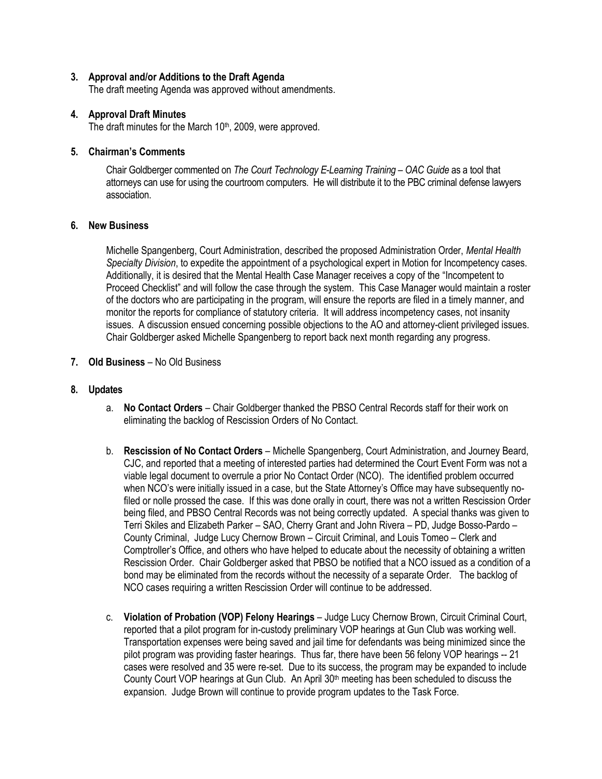## **3. Approval and/or Additions to the Draft Agenda**

The draft meeting Agenda was approved without amendments.

## **4. Approval Draft Minutes**

The draft minutes for the March 10<sup>th</sup>, 2009, were approved.

## **5. Chairman's Comments**

Chair Goldberger commented on *The Court Technology E-Learning Training – OAC Guide* as a tool that attorneys can use for using the courtroom computers. He will distribute it to the PBC criminal defense lawyers association.

# **6. New Business**

Michelle Spangenberg, Court Administration, described the proposed Administration Order, *Mental Health Specialty Division*, to expedite the appointment of a psychological expert in Motion for Incompetency cases. Additionally, it is desired that the Mental Health Case Manager receives a copy of the "Incompetent to Proceed Checklist" and will follow the case through the system. This Case Manager would maintain a roster of the doctors who are participating in the program, will ensure the reports are filed in a timely manner, and monitor the reports for compliance of statutory criteria. It will address incompetency cases, not insanity issues. A discussion ensued concerning possible objections to the AO and attorney-client privileged issues. Chair Goldberger asked Michelle Spangenberg to report back next month regarding any progress.

# **7. Old Business** – No Old Business

# **8. Updates**

- a. **No Contact Orders** Chair Goldberger thanked the PBSO Central Records staff for their work on eliminating the backlog of Rescission Orders of No Contact.
- b. **Rescission of No Contact Orders** Michelle Spangenberg, Court Administration, and Journey Beard, CJC, and reported that a meeting of interested parties had determined the Court Event Form was not a viable legal document to overrule a prior No Contact Order (NCO). The identified problem occurred when NCO's were initially issued in a case, but the State Attorney's Office may have subsequently nofiled or nolle prossed the case. If this was done orally in court, there was not a written Rescission Order being filed, and PBSO Central Records was not being correctly updated. A special thanks was given to Terri Skiles and Elizabeth Parker – SAO, Cherry Grant and John Rivera – PD, Judge Bosso-Pardo – County Criminal, Judge Lucy Chernow Brown – Circuit Criminal, and Louis Tomeo – Clerk and Comptroller's Office, and others who have helped to educate about the necessity of obtaining a written Rescission Order. Chair Goldberger asked that PBSO be notified that a NCO issued as a condition of a bond may be eliminated from the records without the necessity of a separate Order. The backlog of NCO cases requiring a written Rescission Order will continue to be addressed.
- c. **Violation of Probation (VOP) Felony Hearings**  Judge Lucy Chernow Brown, Circuit Criminal Court, reported that a pilot program for in-custody preliminary VOP hearings at Gun Club was working well. Transportation expenses were being saved and jail time for defendants was being minimized since the pilot program was providing faster hearings. Thus far, there have been 56 felony VOP hearings -- 21 cases were resolved and 35 were re-set. Due to its success, the program may be expanded to include County Court VOP hearings at Gun Club. An April 30th meeting has been scheduled to discuss the expansion. Judge Brown will continue to provide program updates to the Task Force.